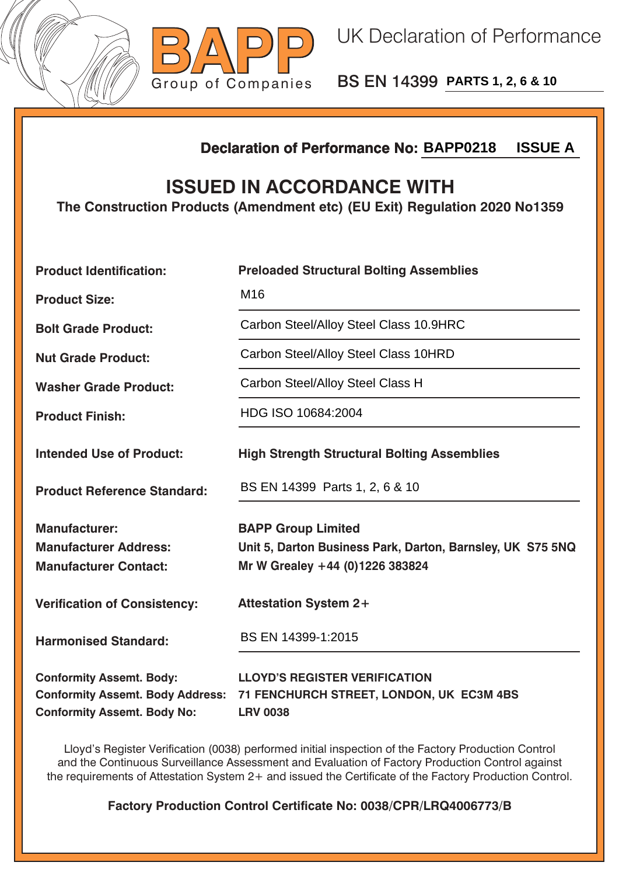



BS EN 14399 **PARTS 1, 2, 6 & 10**

## **Declaration of Performance No:**

## **ISSUED IN ACCORDANCE WITH**

|                                                                                                                  | <b>ISSUE A</b><br><b>Declaration of Performance No: BAPP0218</b>                                                           |  |  |
|------------------------------------------------------------------------------------------------------------------|----------------------------------------------------------------------------------------------------------------------------|--|--|
| <b>ISSUED IN ACCORDANCE WITH</b><br>The Construction Products (Amendment etc) (EU Exit) Regulation 2020 No1359   |                                                                                                                            |  |  |
| <b>Product Identification:</b>                                                                                   | <b>Preloaded Structural Bolting Assemblies</b>                                                                             |  |  |
| <b>Product Size:</b>                                                                                             | M16                                                                                                                        |  |  |
| <b>Bolt Grade Product:</b>                                                                                       | Carbon Steel/Alloy Steel Class 10.9HRC                                                                                     |  |  |
| <b>Nut Grade Product:</b>                                                                                        | Carbon Steel/Alloy Steel Class 10HRD                                                                                       |  |  |
| <b>Washer Grade Product:</b>                                                                                     | Carbon Steel/Alloy Steel Class H                                                                                           |  |  |
| <b>Product Finish:</b>                                                                                           | HDG ISO 10684:2004                                                                                                         |  |  |
| <b>Intended Use of Product:</b>                                                                                  | <b>High Strength Structural Bolting Assemblies</b>                                                                         |  |  |
| <b>Product Reference Standard:</b>                                                                               | BS EN 14399 Parts 1, 2, 6 & 10                                                                                             |  |  |
| <b>Manufacturer:</b><br><b>Manufacturer Address:</b><br><b>Manufacturer Contact:</b>                             | <b>BAPP Group Limited</b><br>Unit 5, Darton Business Park, Darton, Barnsley, UK S75 5NQ<br>Mr W Grealey +44 (0)1226 383824 |  |  |
| <b>Verification of Consistency:</b>                                                                              | <b>Attestation System 2+</b>                                                                                               |  |  |
| <b>Harmonised Standard:</b>                                                                                      | BS EN 14399-1:2015                                                                                                         |  |  |
| <b>Conformity Assemt. Body:</b><br><b>Conformity Assemt. Body Address:</b><br><b>Conformity Assemt. Body No:</b> | <b>LLOYD'S REGISTER VERIFICATION</b><br>71 FENCHURCH STREET, LONDON, UK EC3M 4BS<br><b>LRV 0038</b>                        |  |  |

Lloyd's Register Verification (0038) performed initial inspection of the Factory Production Control and the Continuous Surveillance Assessment and Evaluation of Factory Production Control against the requirements of Attestation System 2+ and issued the Certificate of the Factory Production Control.

**Factory Production Control Certificate No: 0038/CPR/LRQ4006773/B**